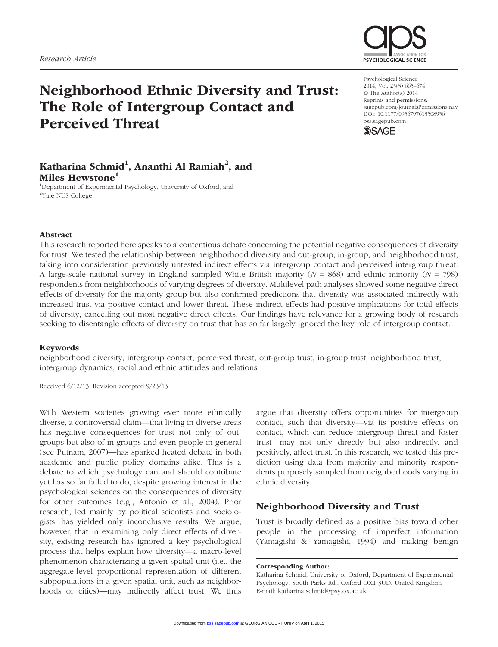

# Neighborhood Ethnic Diversity and Trust: The Role of Intergroup Contact and Perceived Threat

Psychological Science 2014, Vol. 25(3) 665–674 © The Author(s) 2014 Reprints and permissions: sagepub.com/journalsPermissions.nav DOI: 10.1177/0956797613508956 pss.sagepub.com



# Katharina Schmid $^1$ , Ananthi Al Ramiah $^2$ , and Miles Hewstone<sup>1</sup>

<sup>1</sup>Department of Experimental Psychology, University of Oxford, and <sup>2</sup>Yale-NUS College

### Abstract

This research reported here speaks to a contentious debate concerning the potential negative consequences of diversity for trust. We tested the relationship between neighborhood diversity and out-group, in-group, and neighborhood trust, taking into consideration previously untested indirect effects via intergroup contact and perceived intergroup threat. A large-scale national survey in England sampled White British majority (*N* = 868) and ethnic minority (*N* = 798) respondents from neighborhoods of varying degrees of diversity. Multilevel path analyses showed some negative direct effects of diversity for the majority group but also confirmed predictions that diversity was associated indirectly with increased trust via positive contact and lower threat. These indirect effects had positive implications for total effects of diversity, cancelling out most negative direct effects. Our findings have relevance for a growing body of research seeking to disentangle effects of diversity on trust that has so far largely ignored the key role of intergroup contact.

#### Keywords

neighborhood diversity, intergroup contact, perceived threat, out-group trust, in-group trust, neighborhood trust, intergroup dynamics, racial and ethnic attitudes and relations

Received 6/12/13; Revision accepted 9/23/13

With Western societies growing ever more ethnically diverse, a controversial claim—that living in diverse areas has negative consequences for trust not only of outgroups but also of in-groups and even people in general (see Putnam, 2007)—has sparked heated debate in both academic and public policy domains alike. This is a debate to which psychology can and should contribute yet has so far failed to do, despite growing interest in the psychological sciences on the consequences of diversity for other outcomes (e.g., Antonio et al., 2004). Prior research, led mainly by political scientists and sociologists, has yielded only inconclusive results. We argue, however, that in examining only direct effects of diversity, existing research has ignored a key psychological process that helps explain how diversity—a macro-level phenomenon characterizing a given spatial unit (i.e., the aggregate-level proportional representation of different subpopulations in a given spatial unit, such as neighborhoods or cities)—may indirectly affect trust. We thus

argue that diversity offers opportunities for intergroup contact, such that diversity—via its positive effects on contact, which can reduce intergroup threat and foster trust—may not only directly but also indirectly, and positively, affect trust. In this research, we tested this prediction using data from majority and minority respondents purposely sampled from neighborhoods varying in ethnic diversity.

### Neighborhood Diversity and Trust

Trust is broadly defined as a positive bias toward other people in the processing of imperfect information (Yamagishi & Yamagishi, 1994) and making benign

Corresponding Author:

Katharina Schmid, University of Oxford, Department of Experimental Psychology, South Parks Rd., Oxford OX1 3UD, United Kingdom E-mail: katharina.schmid@psy.ox.ac.uk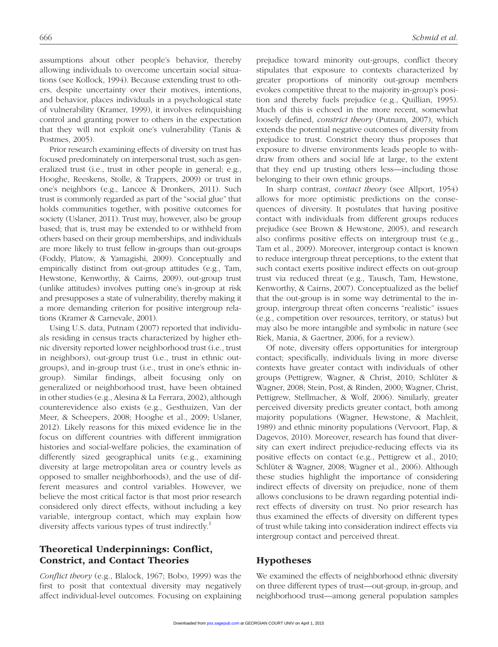assumptions about other people's behavior, thereby allowing individuals to overcome uncertain social situations (see Kollock, 1994). Because extending trust to others, despite uncertainty over their motives, intentions, and behavior, places individuals in a psychological state of vulnerability (Kramer, 1999), it involves relinquishing control and granting power to others in the expectation that they will not exploit one's vulnerability (Tanis & Postmes, 2005).

Prior research examining effects of diversity on trust has focused predominately on interpersonal trust, such as generalized trust (i.e., trust in other people in general; e.g., Hooghe, Reeskens, Stolle, & Trappers, 2009) or trust in one's neighbors (e.g., Lancee & Dronkers, 2011). Such trust is commonly regarded as part of the "social glue" that holds communities together, with positive outcomes for society (Uslaner, 2011). Trust may, however, also be group based; that is, trust may be extended to or withheld from others based on their group memberships, and individuals are more likely to trust fellow in-groups than out-groups (Foddy, Platow, & Yamagishi, 2009). Conceptually and empirically distinct from out-group attitudes (e.g., Tam, Hewstone, Kenworthy, & Cairns, 2009), out-group trust (unlike attitudes) involves putting one's in-group at risk and presupposes a state of vulnerability, thereby making it a more demanding criterion for positive intergroup relations (Kramer & Carnevale, 2001).

Using U.S. data, Putnam (2007) reported that individuals residing in census tracts characterized by higher ethnic diversity reported lower neighborhood trust (i.e., trust in neighbors), out-group trust (i.e., trust in ethnic outgroups), and in-group trust (i.e., trust in one's ethnic ingroup). Similar findings, albeit focusing only on generalized or neighborhood trust, have been obtained in other studies (e.g., Alesina & La Ferrara, 2002), although counterevidence also exists (e.g., Gesthuizen, Van der Meer, & Scheepers, 2008; Hooghe et al., 2009; Uslaner, 2012). Likely reasons for this mixed evidence lie in the focus on different countries with different immigration histories and social-welfare policies, the examination of differently sized geographical units (e.g., examining diversity at large metropolitan area or country levels as opposed to smaller neighborhoods), and the use of different measures and control variables. However, we believe the most critical factor is that most prior research considered only direct effects, without including a key variable, intergroup contact, which may explain how diversity affects various types of trust indirectly.<sup>1</sup>

# Theoretical Underpinnings: Conflict, Constrict, and Contact Theories

*Conflict theory* (e.g., Blalock, 1967; Bobo, 1999) was the first to posit that contextual diversity may negatively affect individual-level outcomes. Focusing on explaining

prejudice toward minority out-groups, conflict theory stipulates that exposure to contexts characterized by greater proportions of minority out-group members evokes competitive threat to the majority in-group's position and thereby fuels prejudice (e.g., Quillian, 1995). Much of this is echoed in the more recent, somewhat loosely defined, *constrict theory* (Putnam, 2007), which extends the potential negative outcomes of diversity from prejudice to trust. Constrict theory thus proposes that exposure to diverse environments leads people to withdraw from others and social life at large, to the extent that they end up trusting others less—including those belonging to their own ethnic groups.

In sharp contrast, *contact theory* (see Allport, 1954) allows for more optimistic predictions on the consequences of diversity. It postulates that having positive contact with individuals from different groups reduces prejudice (see Brown & Hewstone, 2005), and research also confirms positive effects on intergroup trust (e.g., Tam et al., 2009). Moreover, intergroup contact is known to reduce intergroup threat perceptions, to the extent that such contact exerts positive indirect effects on out-group trust via reduced threat (e.g., Tausch, Tam, Hewstone, Kenworthy, & Cairns, 2007). Conceptualized as the belief that the out-group is in some way detrimental to the ingroup, intergroup threat often concerns "realistic" issues (e.g., competition over resources, territory, or status) but may also be more intangible and symbolic in nature (see Riek, Mania, & Gaertner, 2006, for a review).

Of note, diversity offers opportunities for intergroup contact; specifically, individuals living in more diverse contexts have greater contact with individuals of other groups (Pettigrew, Wagner, & Christ, 2010; Schlüter & Wagner, 2008; Stein, Post, & Rinden, 2000; Wagner, Christ, Pettigrew, Stellmacher, & Wolf, 2006). Similarly, greater perceived diversity predicts greater contact, both among majority populations (Wagner, Hewstone, & Machleit, 1989) and ethnic minority populations (Vervoort, Flap, & Dagevos, 2010). Moreover, research has found that diversity can exert indirect prejudice-reducing effects via its positive effects on contact (e.g., Pettigrew et al., 2010; Schlüter & Wagner, 2008; Wagner et al., 2006). Although these studies highlight the importance of considering indirect effects of diversity on prejudice, none of them allows conclusions to be drawn regarding potential indirect effects of diversity on trust. No prior research has thus examined the effects of diversity on different types of trust while taking into consideration indirect effects via intergroup contact and perceived threat.

## Hypotheses

We examined the effects of neighborhood ethnic diversity on three different types of trust—out-group, in-group, and neighborhood trust—among general population samples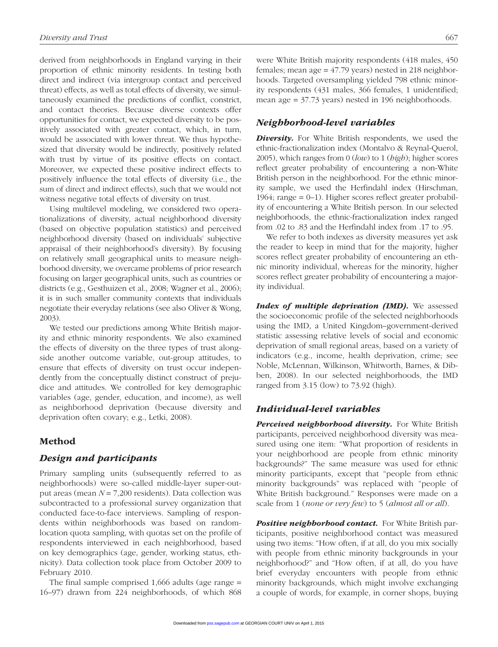derived from neighborhoods in England varying in their proportion of ethnic minority residents. In testing both direct and indirect (via intergroup contact and perceived threat) effects, as well as total effects of diversity, we simultaneously examined the predictions of conflict, constrict, and contact theories. Because diverse contexts offer opportunities for contact, we expected diversity to be positively associated with greater contact, which, in turn, would be associated with lower threat. We thus hypothesized that diversity would be indirectly, positively related with trust by virtue of its positive effects on contact. Moreover, we expected these positive indirect effects to positively influence the total effects of diversity (i.e., the sum of direct and indirect effects), such that we would not witness negative total effects of diversity on trust.

Using multilevel modeling, we considered two operationalizations of diversity, actual neighborhood diversity (based on objective population statistics) and perceived neighborhood diversity (based on individuals' subjective appraisal of their neighborhood's diversity). By focusing on relatively small geographical units to measure neighborhood diversity, we overcame problems of prior research focusing on larger geographical units, such as countries or districts (e.g., Gesthuizen et al., 2008; Wagner et al., 2006); it is in such smaller community contexts that individuals negotiate their everyday relations (see also Oliver & Wong, 2003).

We tested our predictions among White British majority and ethnic minority respondents. We also examined the effects of diversity on the three types of trust alongside another outcome variable, out-group attitudes, to ensure that effects of diversity on trust occur independently from the conceptually distinct construct of prejudice and attitudes. We controlled for key demographic variables (age, gender, education, and income), as well as neighborhood deprivation (because diversity and deprivation often covary; e.g., Letki, 2008).

### Method

### *Design and participants*

Primary sampling units (subsequently referred to as neighborhoods) were so-called middle-layer super-output areas (mean *N* = 7,200 residents). Data collection was subcontracted to a professional survey organization that conducted face-to-face interviews. Sampling of respondents within neighborhoods was based on randomlocation quota sampling, with quotas set on the profile of respondents interviewed in each neighborhood, based on key demographics (age, gender, working status, ethnicity). Data collection took place from October 2009 to February 2010.

The final sample comprised 1,666 adults (age range = 16–97) drawn from 224 neighborhoods, of which 868 were White British majority respondents (418 males, 450 females; mean age = 47.79 years) nested in 218 neighborhoods. Targeted oversampling yielded 798 ethnic minority respondents (431 males, 366 females, 1 unidentified; mean age = 37.73 years) nested in 196 neighborhoods.

### *Neighborhood-level variables*

*Diversity.* For White British respondents, we used the ethnic-fractionalization index (Montalvo & Reynal-Querol, 2005), which ranges from 0 (*low*) to 1 (*high*); higher scores reflect greater probability of encountering a non-White British person in the neighborhood. For the ethnic minority sample, we used the Herfindahl index (Hirschman, 1964; range = 0–1). Higher scores reflect greater probability of encountering a White British person. In our selected neighborhoods, the ethnic-fractionalization index ranged from .02 to .83 and the Herfindahl index from .17 to .95.

We refer to both indexes as diversity measures yet ask the reader to keep in mind that for the majority, higher scores reflect greater probability of encountering an ethnic minority individual, whereas for the minority, higher scores reflect greater probability of encountering a majority individual.

*Index of multiple deprivation (IMD).* We assessed the socioeconomic profile of the selected neighborhoods using the IMD, a United Kingdom–government-derived statistic assessing relative levels of social and economic deprivation of small regional areas, based on a variety of indicators (e.g., income, health deprivation, crime; see Noble, McLennan, Wilkinson, Whitworth, Barnes, & Dibben, 2008). In our selected neighborhoods, the IMD ranged from 3.15 (low) to 73.92 (high).

### *Individual-level variables*

*Perceived neighborhood diversity.* For White British participants, perceived neighborhood diversity was measured using one item: "What proportion of residents in your neighborhood are people from ethnic minority backgrounds?" The same measure was used for ethnic minority participants, except that "people from ethnic minority backgrounds" was replaced with "people of White British background." Responses were made on a scale from 1 (*none or very few*) to 5 (*almost all or all*).

**Positive neighborhood contact.** For White British participants, positive neighborhood contact was measured using two items: "How often, if at all, do you mix socially with people from ethnic minority backgrounds in your neighborhood?" and "How often, if at all, do you have brief everyday encounters with people from ethnic minority backgrounds, which might involve exchanging a couple of words, for example, in corner shops, buying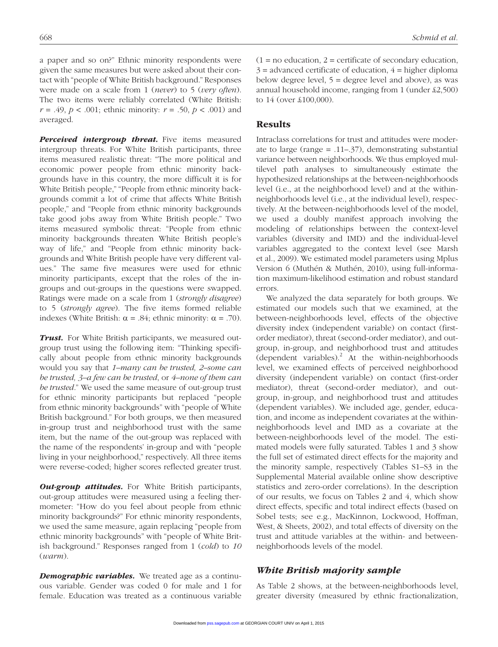a paper and so on?" Ethnic minority respondents were given the same measures but were asked about their contact with "people of White British background." Responses were made on a scale from 1 (*never*) to 5 (*very often*). The two items were reliably correlated (White British: *r* = .49, *p* < .001; ethnic minority: *r* = .50, *p* < .001) and averaged.

*Perceived intergroup threat.* Five items measured intergroup threats. For White British participants, three items measured realistic threat: "The more political and economic power people from ethnic minority backgrounds have in this country, the more difficult it is for White British people," "People from ethnic minority backgrounds commit a lot of crime that affects White British people," and "People from ethnic minority backgrounds take good jobs away from White British people." Two items measured symbolic threat: "People from ethnic minority backgrounds threaten White British people's way of life," and "People from ethnic minority backgrounds and White British people have very different values." The same five measures were used for ethnic minority participants, except that the roles of the ingroups and out-groups in the questions were swapped. Ratings were made on a scale from 1 (*strongly disagree*) to 5 (*strongly agree*). The five items formed reliable indexes (White British:  $\alpha = .84$ ; ethnic minority:  $\alpha = .70$ ).

*Trust.* For White British participants, we measured outgroup trust using the following item: "Thinking specifically about people from ethnic minority backgrounds would you say that *1–many can be trusted, 2–some can be trusted, 3–a few can be trusted*, or *4–none of them can be trusted*." We used the same measure of out-group trust for ethnic minority participants but replaced "people from ethnic minority backgrounds" with "people of White British background." For both groups, we then measured in-group trust and neighborhood trust with the same item, but the name of the out-group was replaced with the name of the respondents' in-group and with "people living in your neighborhood," respectively. All three items were reverse-coded; higher scores reflected greater trust.

**Out-group attitudes.** For White British participants, out-group attitudes were measured using a feeling thermometer: "How do you feel about people from ethnic minority backgrounds?" For ethnic minority respondents, we used the same measure, again replacing "people from ethnic minority backgrounds" with "people of White British background." Responses ranged from 1 (*cold*) to *10* (*warm*).

*Demographic variables.* We treated age as a continuous variable. Gender was coded 0 for male and 1 for female. Education was treated as a continuous variable  $(1 = no education, 2 = certificate of secondary education,$  $3 =$  advanced certificate of education,  $4 =$  higher diploma below degree level,  $5 =$  degree level and above), as was annual household income, ranging from 1 (under £2,500) to 14 (over £100,000).

### **Results**

Intraclass correlations for trust and attitudes were moderate to large (range = .11–.37), demonstrating substantial variance between neighborhoods. We thus employed multilevel path analyses to simultaneously estimate the hypothesized relationships at the between-neighborhoods level (i.e., at the neighborhood level) and at the withinneighborhoods level (i.e., at the individual level), respectively. At the between-neighborhoods level of the model, we used a doubly manifest approach involving the modeling of relationships between the context-level variables (diversity and IMD) and the individual-level variables aggregated to the context level (see Marsh et al., 2009). We estimated model parameters using Mplus Version 6 (Muthén & Muthén, 2010), using full-information maximum-likelihood estimation and robust standard errors.

We analyzed the data separately for both groups. We estimated our models such that we examined, at the between-neighborhoods level, effects of the objective diversity index (independent variable) on contact (firstorder mediator), threat (second-order mediator), and outgroup, in-group, and neighborhood trust and attitudes (dependent variables).<sup>2</sup> At the within-neighborhoods level, we examined effects of perceived neighborhood diversity (independent variable) on contact (first-order mediator), threat (second-order mediator), and outgroup, in-group, and neighborhood trust and attitudes (dependent variables). We included age, gender, education, and income as independent covariates at the withinneighborhoods level and IMD as a covariate at the between-neighborhoods level of the model. The estimated models were fully saturated. Tables 1 and 3 show the full set of estimated direct effects for the majority and the minority sample, respectively (Tables S1–S3 in the Supplemental Material available online show descriptive statistics and zero-order correlations). In the description of our results, we focus on Tables 2 and 4, which show direct effects, specific and total indirect effects (based on Sobel tests; see e.g., MacKinnon, Lockwood, Hoffman, West, & Sheets, 2002), and total effects of diversity on the trust and attitude variables at the within- and betweenneighborhoods levels of the model.

### *White British majority sample*

As Table 2 shows, at the between-neighborhoods level, greater diversity (measured by ethnic fractionalization,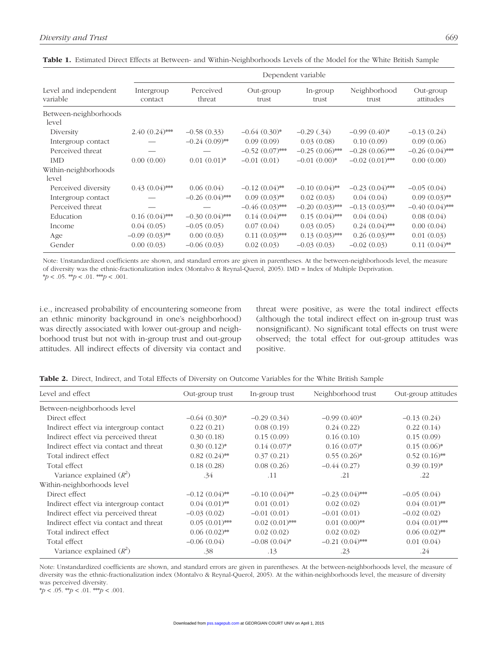| Level and independent<br>variable | Dependent variable    |                     |                    |                   |                       |                        |  |
|-----------------------------------|-----------------------|---------------------|--------------------|-------------------|-----------------------|------------------------|--|
|                                   | Intergroup<br>contact | Perceived<br>threat | Out-group<br>trust | In-group<br>trust | Neighborhood<br>trust | Out-group<br>attitudes |  |
| Between-neighborhoods<br>level    |                       |                     |                    |                   |                       |                        |  |
| Diversity                         | $2.40(0.24)$ ***      | $-0.58(0.33)$       | $-0.64(0.30)$ *    | $-0.29$ $(.34)$   | $-0.99(0.40)$ *       | $-0.13(0.24)$          |  |
| Intergroup contact                |                       | $-0.24(0.09)$ **    | 0.09(0.09)         | 0.03(0.08)        | 0.10(0.09)            | 0.09(0.06)             |  |
| Perceived threat                  |                       |                     | $-0.52(0.07)$ ***  | $-0.25(0.06)$ **  | $-0.28(0.06)$ **      | $-0.26(0.04)$ **       |  |
| <b>IMD</b>                        | 0.00(0.00)            | $0.01(0.01)^*$      | $-0.01(0.01)$      | $-0.01(0.00)*$    | $-0.02(0.01)$ ***     | 0.00(0.00)             |  |
| Within-neighborhoods<br>level     |                       |                     |                    |                   |                       |                        |  |
| Perceived diversity               | $0.43(0.04)$ ***      | 0.06(0.04)          | $-0.12(0.04)$ **   | $-0.10(0.04)$ **  | $-0.23(0.04)$ ***     | $-0.05(0.04)$          |  |
| Intergroup contact                |                       | $-0.26(0.04)$ **    | $0.09(0.03)$ **    | 0.02(0.03)        | 0.04(0.04)            | $0.09(0.03)$ **        |  |
| Perceived threat                  |                       |                     | $-0.46(0.03)$ ***  | $-0.20(0.03)$ *** | $-0.13(0.03)$ ***     | $-0.40(0.04)$ **       |  |
| Education                         | $0.16(0.04)$ ***      | $-0.30(0.04)$ **    | $0.14(0.04)$ **    | $0.15(0.04)$ ***  | 0.04(0.04)            | 0.08(0.04)             |  |
| Income                            | 0.04(0.05)            | $-0.05(0.05)$       | 0.07(0.04)         | 0.03(0.05)        | $0.24~(0.04)$ ***     | 0.00(0.04)             |  |
| Age                               | $-0.09(0.03)$ **      | 0.00(0.03)          | $0.11(0.03)$ ***   | $0.13(0.03)$ ***  | $0.26(0.03)$ ***      | 0.01(0.03)             |  |
| Gender                            | 0.00(0.03)            | $-0.06(0.03)$       | 0.02(0.03)         | $-0.03(0.03)$     | $-0.02(0.03)$         | $0.11(0.04)$ **        |  |

Table 1. Estimated Direct Effects at Between- and Within-Neighborhoods Levels of the Model for the White British Sample

Note: Unstandardized coefficients are shown, and standard errors are given in parentheses. At the between-neighborhoods level, the measure of diversity was the ethnic-fractionalization index (Montalvo & Reynal-Querol, 2005). IMD = Index of Multiple Deprivation.  $* p < .05.$  \*\* $p < .01.$  \*\* $p < .001.$ 

i.e., increased probability of encountering someone from an ethnic minority background in one's neighborhood) was directly associated with lower out-group and neighborhood trust but not with in-group trust and out-group attitudes. All indirect effects of diversity via contact and threat were positive, as were the total indirect effects (although the total indirect effect on in-group trust was nonsignificant). No significant total effects on trust were observed; the total effect for out-group attitudes was positive.

| <b>Table 2.</b> Direct. Indirect. and Total Effects of Diversity on Outcome Variables for the White British Sample |  |
|--------------------------------------------------------------------------------------------------------------------|--|
|--------------------------------------------------------------------------------------------------------------------|--|

| Level and effect                       | Out-group trust  | In-group trust   | Neighborhood trust | Out-group attitudes |
|----------------------------------------|------------------|------------------|--------------------|---------------------|
| Between-neighborhoods level            |                  |                  |                    |                     |
| Direct effect                          | $-0.64(0.30)$ *  | $-0.29(0.34)$    | $-0.99(0.40)$ *    | $-0.13(0.24)$       |
| Indirect effect via intergroup contact | 0.22(0.21)       | 0.08(0.19)       | 0.24(0.22)         | 0.22(0.14)          |
| Indirect effect via perceived threat   | 0.30(0.18)       | 0.15(0.09)       | 0.16(0.10)         | 0.15(0.09)          |
| Indirect effect via contact and threat | $0.30(0.12)$ *   | $0.14(0.07)^*$   | $0.16(0.07)^*$     | $0.15(0.06)^*$      |
| Total indirect effect                  | $0.82(0.24)$ **  | 0.37(0.21)       | $0.55(0.26)^*$     | $0.52(0.16)$ **     |
| Total effect                           | 0.18(0.28)       | 0.08(0.26)       | $-0.44(0.27)$      | $0.39(0.19)$ *      |
| Variance explained $(R^2)$             | .34              | .11              | .21                | .22                 |
| Within-neighborhoods level             |                  |                  |                    |                     |
| Direct effect                          | $-0.12(0.04)$ ** | $-0.10(0.04)$ ** | $-0.23(0.04)$ ***  | $-0.05(0.04)$       |
| Indirect effect via intergroup contact | $0.04(0.01)$ **  | 0.01(0.01)       | 0.02(0.02)         | $0.04(0.01)$ **     |
| Indirect effect via perceived threat   | $-0.03(0.02)$    | $-0.01(0.01)$    | $-0.01(0.01)$      | $-0.02(0.02)$       |
| Indirect effect via contact and threat | $0.05(0.01)$ **  | $0.02(0.01)$ **  | $0.01(0.00)$ **    | $0.04(0.01)$ **     |
| Total indirect effect                  | $0.06(0.02)$ **  | 0.02(0.02)       | 0.02(0.02)         | $0.06(0.02)$ **     |
| Total effect                           | $-0.06(0.04)$    | $-0.08(0.04)$ *  | $-0.21(0.04)$ ***  | 0.01(0.04)          |
| Variance explained $(R^2)$             | .38              | .13              | .23                | .24                 |

Note: Unstandardized coefficients are shown, and standard errors are given in parentheses. At the between-neighborhoods level, the measure of diversity was the ethnic-fractionalization index (Montalvo & Reynal-Querol, 2005). At the within-neighborhoods level, the measure of diversity was perceived diversity.

 $* p < .05.$  \*\* $p < .01.$  \*\* $p < .001.$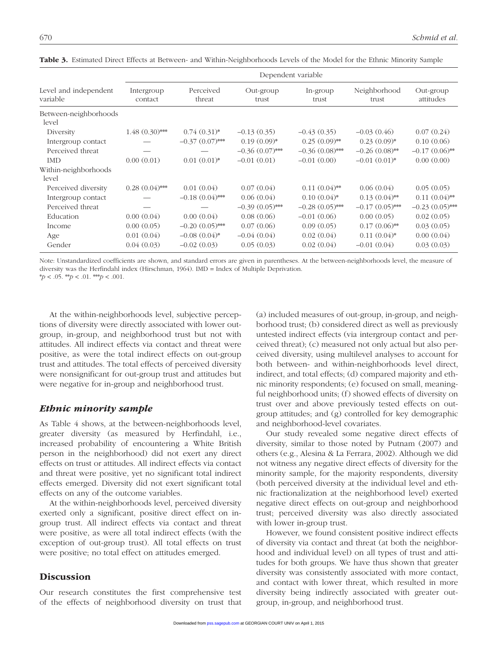| Level and independent<br>variable | Dependent variable    |                     |                    |                   |                       |                        |  |
|-----------------------------------|-----------------------|---------------------|--------------------|-------------------|-----------------------|------------------------|--|
|                                   | Intergroup<br>contact | Perceived<br>threat | Out-group<br>trust | In-group<br>trust | Neighborhood<br>trust | Out-group<br>attitudes |  |
| Between-neighborhoods<br>level    |                       |                     |                    |                   |                       |                        |  |
| Diversity                         | $1.48(0.30)$ ***      | $0.74(0.31)*$       | $-0.13(0.35)$      | $-0.43(0.35)$     | $-0.03(0.46)$         | 0.07(0.24)             |  |
| Intergroup contact                |                       | $-0.37(0.07)$ ***   | $0.19(0.09)$ *     | $0.25(0.09)$ **   | $0.23(0.09)^*$        | 0.10(0.06)             |  |
| Perceived threat                  |                       |                     | $-0.36(0.07)$ ***  | $-0.36(0.08)$ **  | $-0.26(0.08)$ **      | $-0.17(0.06)$ **       |  |
| <b>IMD</b>                        | 0.00(0.01)            | $0.01(0.01)*$       | $-0.01(0.01)$      | $-0.01(0.00)$     | $-0.01(0.01)$ *       | 0.00(0.00)             |  |
| Within-neighborhoods<br>level     |                       |                     |                    |                   |                       |                        |  |
| Perceived diversity               | $0.28(0.04)$ ***      | 0.01(0.04)          | 0.07(0.04)         | $0.11(0.04)$ **   | 0.06(0.04)            | 0.05(0.05)             |  |
| Intergroup contact                |                       | $-0.18(0.04)$ ***   | 0.06(0.04)         | $0.10(0.04)$ *    | $0.13(0.04)$ **       | $0.11(0.04)$ **        |  |
| Perceived threat                  |                       |                     | $-0.39(0.05)$ ***  | $-0.28(0.05)$ *** | $-0.17(0.05)$ ***     | $-0.23(0.05)$ **       |  |
| Education                         | 0.00(0.04)            | 0.00(0.04)          | 0.08(0.06)         | $-0.01(0.06)$     | 0.00(0.05)            | 0.02(0.05)             |  |
| Income                            | 0.00(0.05)            | $-0.20(0.05)$ ***   | 0.07(0.06)         | 0.09(0.05)        | $0.17(0.06)$ **       | 0.03(0.05)             |  |
| Age                               | 0.01(0.04)            | $-0.08(0.04)$ *     | $-0.04(0.04)$      | 0.02(0.04)        | $0.11(0.04)$ *        | 0.00(0.04)             |  |
| Gender                            | 0.04(0.03)            | $-0.02(0.03)$       | 0.05(0.03)         | 0.02(0.04)        | $-0.01(0.04)$         | 0.03(0.03)             |  |

Table 3. Estimated Direct Effects at Between- and Within-Neighborhoods Levels of the Model for the Ethnic Minority Sample

Note: Unstandardized coefficients are shown, and standard errors are given in parentheses. At the between-neighborhoods level, the measure of diversity was the Herfindahl index (Hirschman, 1964). IMD = Index of Multiple Deprivation.

\**p* < .05. \*\**p* < .01. \*\*\**p* < .001.

At the within-neighborhoods level, subjective perceptions of diversity were directly associated with lower outgroup, in-group, and neighborhood trust but not with attitudes. All indirect effects via contact and threat were positive, as were the total indirect effects on out-group trust and attitudes. The total effects of perceived diversity were nonsignificant for out-group trust and attitudes but were negative for in-group and neighborhood trust.

### *Ethnic minority sample*

As Table 4 shows, at the between-neighborhoods level, greater diversity (as measured by Herfindahl, i.e., increased probability of encountering a White British person in the neighborhood) did not exert any direct effects on trust or attitudes. All indirect effects via contact and threat were positive, yet no significant total indirect effects emerged. Diversity did not exert significant total effects on any of the outcome variables.

At the within-neighborhoods level, perceived diversity exerted only a significant, positive direct effect on ingroup trust. All indirect effects via contact and threat were positive, as were all total indirect effects (with the exception of out-group trust). All total effects on trust were positive; no total effect on attitudes emerged.

### **Discussion**

Our research constitutes the first comprehensive test of the effects of neighborhood diversity on trust that (a) included measures of out-group, in-group, and neighborhood trust; (b) considered direct as well as previously untested indirect effects (via intergroup contact and perceived threat); (c) measured not only actual but also perceived diversity, using multilevel analyses to account for both between- and within-neighborhoods level direct, indirect, and total effects; (d) compared majority and ethnic minority respondents; (e) focused on small, meaningful neighborhood units; (f) showed effects of diversity on trust over and above previously tested effects on outgroup attitudes; and (g) controlled for key demographic and neighborhood-level covariates.

Our study revealed some negative direct effects of diversity, similar to those noted by Putnam (2007) and others (e.g., Alesina & La Ferrara, 2002). Although we did not witness any negative direct effects of diversity for the minority sample, for the majority respondents, diversity (both perceived diversity at the individual level and ethnic fractionalization at the neighborhood level) exerted negative direct effects on out-group and neighborhood trust; perceived diversity was also directly associated with lower in-group trust.

However, we found consistent positive indirect effects of diversity via contact and threat (at both the neighborhood and individual level) on all types of trust and attitudes for both groups. We have thus shown that greater diversity was consistently associated with more contact, and contact with lower threat, which resulted in more diversity being indirectly associated with greater outgroup, in-group, and neighborhood trust.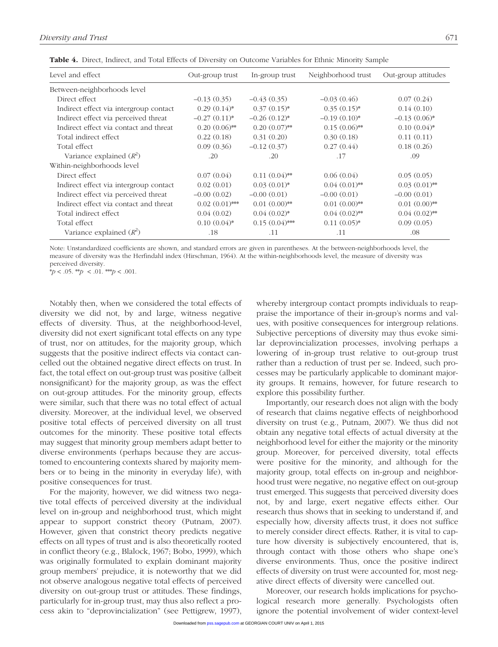| Level and effect                       | Out-group trust  | In-group trust  | Neighborhood trust | Out-group attitudes |
|----------------------------------------|------------------|-----------------|--------------------|---------------------|
| Between-neighborhoods level            |                  |                 |                    |                     |
| Direct effect                          | $-0.13(0.35)$    | $-0.43(0.35)$   | $-0.03(0.46)$      | 0.07(0.24)          |
| Indirect effect via intergroup contact | $0.29(0.14)$ *   | $0.37(0.15)^*$  | $0.35(0.15)^{*}$   | 0.14(0.10)          |
| Indirect effect via perceived threat   | $-0.27(0.11)*$   | $-0.26(0.12)$ * | $-0.19(0.10)$ *    | $-0.13(0.06)$ *     |
| Indirect effect via contact and threat | $0.20(0.06)$ **  | $0.20(0.07)$ ** | $0.15(0.06)$ **    | $0.10(0.04)$ *      |
| Total indirect effect                  | 0.22(0.18)       | 0.31(0.20)      | 0.30(0.18)         | 0.11(0.11)          |
| Total effect                           | 0.09(0.36)       | $-0.12(0.37)$   | 0.27(0.44)         | 0.18(0.26)          |
| Variance explained $(R^2)$             | .20              | .20             | .17                | .09                 |
| Within-neighborhoods level             |                  |                 |                    |                     |
| Direct effect                          | 0.07(0.04)       | $0.11(0.04)$ ** | 0.06(0.04)         | 0.05(0.05)          |
| Indirect effect via intergroup contact | 0.02(0.01)       | $0.03(0.01)$ *  | $0.04(0.01)$ **    | $0.03(0.01)$ **     |
| Indirect effect via perceived threat   | $-0.00(0.02)$    | $-0.00(0.01)$   | $-0.00(0.01)$      | $-0.00(0.01)$       |
| Indirect effect via contact and threat | $0.02(0.01)$ *** | $0.01(0.00)$ ** | $0.01(0.00)$ **    | $0.01(0.00)$ **     |
| Total indirect effect                  | 0.04(0.02)       | $0.04(0.02)$ *  | $0.04(0.02)$ **    | $0.04(0.02)$ **     |
| Total effect                           | $0.10(0.04)$ *   | $0.15(0.04)$ ** | $0.11(0.05)*$      | 0.09(0.05)          |
| Variance explained $(R^2)$             | .18              | .11             | .11                | .08                 |

Table 4. Direct, Indirect, and Total Effects of Diversity on Outcome Variables for Ethnic Minority Sample

Note: Unstandardized coefficients are shown, and standard errors are given in parentheses. At the between-neighborhoods level, the measure of diversity was the Herfindahl index (Hirschman, 1964). At the within-neighborhoods level, the measure of diversity was perceived diversity.

 $* p < .05.$  \*\* $p < .01.$  \*\* $p < .001.$ 

Notably then, when we considered the total effects of diversity we did not, by and large, witness negative effects of diversity. Thus, at the neighborhood-level, diversity did not exert significant total effects on any type of trust, nor on attitudes, for the majority group, which suggests that the positive indirect effects via contact cancelled out the obtained negative direct effects on trust. In fact, the total effect on out-group trust was positive (albeit nonsignificant) for the majority group, as was the effect on out-group attitudes. For the minority group, effects were similar, such that there was no total effect of actual diversity. Moreover, at the individual level, we observed positive total effects of perceived diversity on all trust outcomes for the minority. These positive total effects may suggest that minority group members adapt better to diverse environments (perhaps because they are accustomed to encountering contexts shared by majority members or to being in the minority in everyday life), with positive consequences for trust.

For the majority, however, we did witness two negative total effects of perceived diversity at the individual level on in-group and neighborhood trust, which might appear to support constrict theory (Putnam, 2007). However, given that constrict theory predicts negative effects on all types of trust and is also theoretically rooted in conflict theory (e.g., Blalock, 1967; Bobo, 1999), which was originally formulated to explain dominant majority group members' prejudice, it is noteworthy that we did not observe analogous negative total effects of perceived diversity on out-group trust or attitudes. These findings, particularly for in-group trust, may thus also reflect a process akin to "deprovincialization" (see Pettigrew, 1997),

whereby intergroup contact prompts individuals to reappraise the importance of their in-group's norms and values, with positive consequences for intergroup relations. Subjective perceptions of diversity may thus evoke similar deprovincialization processes, involving perhaps a lowering of in-group trust relative to out-group trust rather than a reduction of trust per se. Indeed, such processes may be particularly applicable to dominant majority groups. It remains, however, for future research to explore this possibility further.

Importantly, our research does not align with the body of research that claims negative effects of neighborhood diversity on trust (e.g., Putnam, 2007). We thus did not obtain any negative total effects of actual diversity at the neighborhood level for either the majority or the minority group. Moreover, for perceived diversity, total effects were positive for the minority, and although for the majority group, total effects on in-group and neighborhood trust were negative, no negative effect on out-group trust emerged. This suggests that perceived diversity does not, by and large, exert negative effects either. Our research thus shows that in seeking to understand if, and especially how, diversity affects trust, it does not suffice to merely consider direct effects. Rather, it is vital to capture how diversity is subjectively encountered, that is, through contact with those others who shape one's diverse environments. Thus, once the positive indirect effects of diversity on trust were accounted for, most negative direct effects of diversity were cancelled out.

Moreover, our research holds implications for psychological research more generally. Psychologists often ignore the potential involvement of wider context-level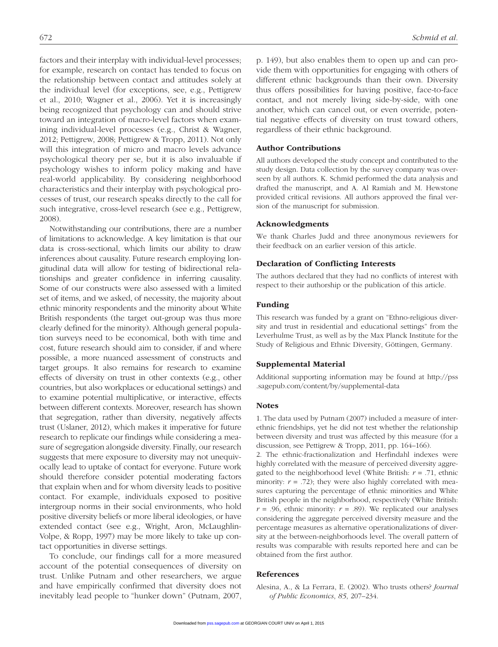factors and their interplay with individual-level processes; for example, research on contact has tended to focus on the relationship between contact and attitudes solely at the individual level (for exceptions, see, e.g., Pettigrew et al., 2010; Wagner et al., 2006). Yet it is increasingly being recognized that psychology can and should strive toward an integration of macro-level factors when examining individual-level processes (e.g., Christ & Wagner, 2012; Pettigrew, 2008; Pettigrew & Tropp, 2011). Not only will this integration of micro and macro levels advance psychological theory per se, but it is also invaluable if psychology wishes to inform policy making and have real-world applicability. By considering neighborhood characteristics and their interplay with psychological processes of trust, our research speaks directly to the call for such integrative, cross-level research (see e.g., Pettigrew, 2008).

Notwithstanding our contributions, there are a number of limitations to acknowledge. A key limitation is that our data is cross-sectional, which limits our ability to draw inferences about causality. Future research employing longitudinal data will allow for testing of bidirectional relationships and greater confidence in inferring causality. Some of our constructs were also assessed with a limited set of items, and we asked, of necessity, the majority about ethnic minority respondents and the minority about White British respondents (the target out-group was thus more clearly defined for the minority). Although general population surveys need to be economical, both with time and cost, future research should aim to consider, if and where possible, a more nuanced assessment of constructs and target groups. It also remains for research to examine effects of diversity on trust in other contexts (e.g., other countries, but also workplaces or educational settings) and to examine potential multiplicative, or interactive, effects between different contexts. Moreover, research has shown that segregation, rather than diversity, negatively affects trust (Uslaner, 2012), which makes it imperative for future research to replicate our findings while considering a measure of segregation alongside diversity. Finally, our research suggests that mere exposure to diversity may not unequivocally lead to uptake of contact for everyone. Future work should therefore consider potential moderating factors that explain when and for whom diversity leads to positive contact. For example, individuals exposed to positive intergroup norms in their social environments, who hold positive diversity beliefs or more liberal ideologies, or have extended contact (see e.g., Wright, Aron, McLaughlin-Volpe, & Ropp, 1997) may be more likely to take up contact opportunities in diverse settings.

To conclude, our findings call for a more measured account of the potential consequences of diversity on trust. Unlike Putnam and other researchers, we argue and have empirically confirmed that diversity does not inevitably lead people to "hunker down" (Putnam, 2007, p. 149), but also enables them to open up and can provide them with opportunities for engaging with others of different ethnic backgrounds than their own. Diversity thus offers possibilities for having positive, face-to-face contact, and not merely living side-by-side, with one another, which can cancel out, or even override, potential negative effects of diversity on trust toward others, regardless of their ethnic background.

#### Author Contributions

All authors developed the study concept and contributed to the study design. Data collection by the survey company was overseen by all authors. K. Schmid performed the data analysis and drafted the manuscript, and A. Al Ramiah and M. Hewstone provided critical revisions. All authors approved the final version of the manuscript for submission.

#### Acknowledgments

We thank Charles Judd and three anonymous reviewers for their feedback on an earlier version of this article.

#### Declaration of Conflicting Interests

The authors declared that they had no conflicts of interest with respect to their authorship or the publication of this article.

#### Funding

This research was funded by a grant on "Ethno-religious diversity and trust in residential and educational settings" from the Leverhulme Trust, as well as by the Max Planck Institute for the Study of Religious and Ethnic Diversity, Göttingen, Germany.

#### Supplemental Material

[Additional supporting information may be found at http://pss](http://pss.sagepub.com/content/by/supplemental-data) .sagepub.com/content/by/supplemental-data

#### **Notes**

1. The data used by Putnam (2007) included a measure of interethnic friendships, yet he did not test whether the relationship between diversity and trust was affected by this measure (for a discussion, see Pettigrew & Tropp, 2011, pp. 164–166).

2. The ethnic-fractionalization and Herfindahl indexes were highly correlated with the measure of perceived diversity aggregated to the neighborhood level (White British: *r* = .71, ethnic minority:  $r = .72$ ); they were also highly correlated with measures capturing the percentage of ethnic minorities and White British people in the neighborhood, respectively (White British:  $r = .96$ , ethnic minority:  $r = .89$ ). We replicated our analyses considering the aggregate perceived diversity measure and the percentage measures as alternative operationalizations of diversity at the between-neighborhoods level. The overall pattern of results was comparable with results reported here and can be obtained from the first author.

#### References

Alesina, A., & La Ferrara, E. (2002). Who trusts others? *Journal of Public Economics*, *85*, 207–234.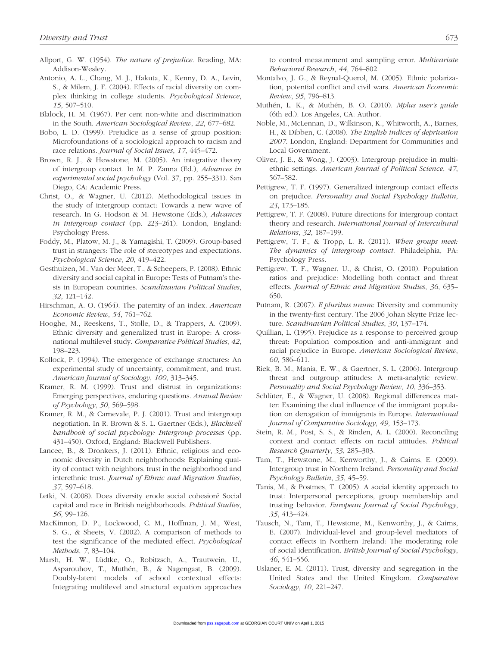- Allport, G. W. (1954). *The nature of prejudice*. Reading, MA: Addison-Wesley.
- Antonio, A. L., Chang, M. J., Hakuta, K., Kenny, D. A., Levin, S., & Milem, J. F. (2004). Effects of racial diversity on complex thinking in college students. *Psychological Science*, *15*, 507–510.
- Blalock, H. M. (1967). Per cent non-white and discrimination in the South. *American Sociological Review*, *22*, 677–682.
- Bobo, L. D. (1999). Prejudice as a sense of group position: Microfoundations of a sociological approach to racism and race relations. *Journal of Social Issues*, *17*, 445–472.
- Brown, R. J., & Hewstone, M. (2005). An integrative theory of intergroup contact. In M. P. Zanna (Ed.), *Advances in experimental social psychology* (Vol. 37, pp. 255–331). San Diego, CA: Academic Press.
- Christ, O., & Wagner, U. (2012). Methodological issues in the study of intergroup contact: Towards a new wave of research. In G. Hodson & M. Hewstone (Eds.), *Advances in intergroup contact* (pp. 223–261). London, England: Psychology Press.
- Foddy, M., Platow, M. J., & Yamagishi, T. (2009). Group-based trust in strangers: The role of stereotypes and expectations. *Psychological Science*, *20*, 419–422.
- Gesthuizen, M., Van der Meer, T., & Scheepers, P. (2008). Ethnic diversity and social capital in Europe: Tests of Putnam's thesis in European countries. *Scandinavian Political Studies*, *32*, 121–142.
- Hirschman, A. O. (1964). The paternity of an index. *American Economic Review*, *54*, 761–762.
- Hooghe, M., Reeskens, T., Stolle, D., & Trappers, A. (2009). Ethnic diversity and generalized trust in Europe: A crossnational multilevel study. *Comparative Political Studies*, *42*, 198–223.
- Kollock, P. (1994). The emergence of exchange structures: An experimental study of uncertainty, commitment, and trust. *American Journal of Sociology*, *100*, 313–345.
- Kramer, R. M. (1999). Trust and distrust in organizations: Emerging perspectives, enduring questions. *Annual Review of Psychology*, *50*, 569–598.
- Kramer, R. M., & Carnevale, P. J. (2001). Trust and intergroup negotiation. In R. Brown & S. L. Gaertner (Eds.), *Blackwell handbook of social psychology: Intergroup processes* (pp. 431–450). Oxford, England: Blackwell Publishers.
- Lancee, B., & Dronkers, J. (2011). Ethnic, religious and economic diversity in Dutch neighborhoods: Explaining quality of contact with neighbors, trust in the neighborhood and interethnic trust. *Journal of Ethnic and Migration Studies*, *37*, 597–618.
- Letki, N. (2008). Does diversity erode social cohesion? Social capital and race in British neighborhoods. *Political Studies*, *56*, 99–126.
- MacKinnon, D. P., Lockwood, C. M., Hoffman, J. M., West, S. G., & Sheets, V. (2002). A comparison of methods to test the significance of the mediated effect. *Psychological Methods*, *7*, 83–104.
- Marsh, H. W., Lüdtke, O., Robitzsch, A., Trautwein, U., Asparouhov, T., Muthén, B., & Nagengast, B. (2009). Doubly-latent models of school contextual effects: Integrating multilevel and structural equation approaches

to control measurement and sampling error. *Multivariate Behavioral Research*, *44*, 764–802.

- Montalvo, J. G., & Reynal-Querol, M. (2005). Ethnic polarization, potential conflict and civil wars. *American Economic Review*, *95*, 796–813.
- Muthén, L. K., & Muthén, B. O. (2010). *Mplus user's guide* (6th ed.). Los Angeles, CA: Author.
- Noble, M., McLennan, D., Wilkinson, K., Whitworth, A., Barnes, H., & Dibben, C. (2008). *The English indices of deprivation 2007*. London, England: Department for Communities and Local Government.
- Oliver, J. E., & Wong, J. (2003). Intergroup prejudice in multiethnic settings. *American Journal of Political Science*, *47*, 567–582.
- Pettigrew, T. F. (1997). Generalized intergroup contact effects on prejudice. *Personality and Social Psychology Bulletin*, *23*, 173–185.
- Pettigrew, T. F. (2008). Future directions for intergroup contact theory and research. *International Journal of Intercultural Relations*, *32*, 187–199.
- Pettigrew, T. F., & Tropp, L. R. (2011). *When groups meet: The dynamics of intergroup contact*. Philadelphia, PA: Psychology Press.
- Pettigrew, T. F., Wagner, U., & Christ, O. (2010). Population ratios and prejudice: Modelling both contact and threat effects. *Journal of Ethnic and Migration Studies*, *36*, 635– 650.
- Putnam, R. (2007). *E pluribus unum*: Diversity and community in the twenty-first century. The 2006 Johan Skytte Prize lecture. *Scandinavian Political Studies*, *30*, 137–174.
- Quillian, L. (1995). Prejudice as a response to perceived group threat: Population composition and anti-immigrant and racial prejudice in Europe. *American Sociological Review*, *60*, 586–611.
- Riek, B. M., Mania, E. W., & Gaertner, S. L. (2006). Intergroup threat and outgroup attitudes: A meta-analytic review. *Personality and Social Psychology Review*, *10*, 336–353.
- Schlüter, E., & Wagner, U. (2008). Regional differences matter: Examining the dual influence of the immigrant population on derogation of immigrants in Europe. *International Journal of Comparative Sociology*, *49*, 153–173.
- Stein, R. M., Post, S. S., & Rinden, A. L. (2000). Reconciling context and contact effects on racial attitudes. *Political Research Quarterly*, *53*, 285–303.
- Tam, T., Hewstone, M., Kenworthy, J., & Cairns, E. (2009). Intergroup trust in Northern Ireland. *Personality and Social Psychology Bulletin*, *35*, 45–59.
- Tanis, M., & Postmes, T. (2005). A social identity approach to trust: Interpersonal perceptions, group membership and trusting behavior. *European Journal of Social Psychology*, *35*, 413–424.
- Tausch, N., Tam, T., Hewstone, M., Kenworthy, J., & Cairns, E. (2007). Individual-level and group-level mediators of contact effects in Northern Ireland: The moderating role of social identification. *British Journal of Social Psychology*, *46*, 541–556.
- Uslaner, E. M. (2011). Trust, diversity and segregation in the United States and the United Kingdom. *Comparative Sociology*, *10*, 221–247.